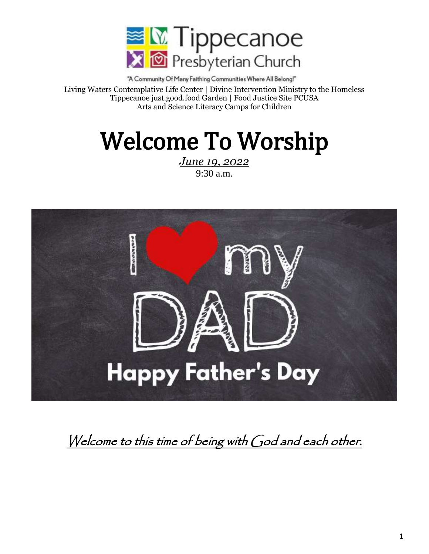

"A Community Of Many Faithing Communities Where All Belong!" Living Waters Contemplative Life Center | Divine Intervention Ministry to the Homeless Tippecanoe just.good.food Garden | Food Justice Site PCUSA Arts and Science Literacy Camps for Children

# Welcome To Worship

*June 19, 2022* 9:30 a.m.



# Welcome to this time of being with God and each other.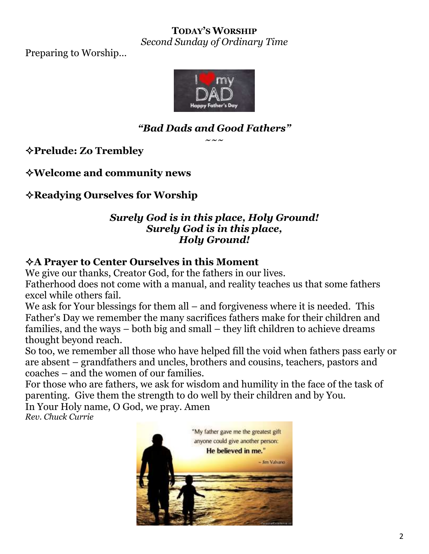#### **TODAY'S WORSHIP** *Second Sunday of Ordinary Time*

Preparing to Worship…



# *"Bad Dads and Good Fathers"*

 $\sim\sim\:\sim$ 

**Prelude: Zo Trembley**

**Welcome and community news**

**Readying Ourselves for Worship** 

#### *Surely God is in this place, Holy Ground! Surely God is in this place, Holy Ground!*

### **A Prayer to Center Ourselves in this Moment**

We give our thanks, Creator God, for the fathers in our lives. Fatherhood does not come with a manual, and reality teaches us that some fathers excel while others fail.

We ask for Your blessings for them all – and forgiveness where it is needed. This Father's Day we remember the many sacrifices fathers make for their children and families, and the ways – both big and small – they lift children to achieve dreams thought beyond reach.

So too, we remember all those who have helped fill the void when fathers pass early or are absent – grandfathers and uncles, brothers and cousins, teachers, pastors and coaches – and the women of our families.

For those who are fathers, we ask for wisdom and humility in the face of the task of parenting. Give them the strength to do well by their children and by You. In Your Holy name, O God, we pray. Amen

*Rev. Chuck Currie*

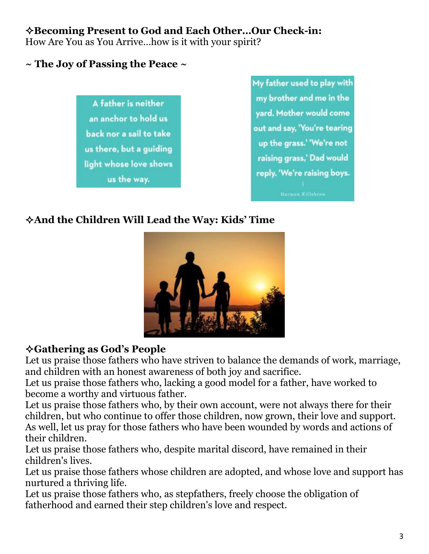# **Becoming Present to God and Each Other…Our Check-in:**

How Are You as You Arrive…how is it with your spirit?

# **~ The Joy of Passing the Peace ~**



My father used to play with my brother and me in the yard. Mother would come out and say, 'You're tearing up the grass.' 'We're not raising grass,' Dad would reply. 'We're raising boys.

# **And the Children Will Lead the Way: Kids' Time**



# **Gathering as God's People**

Let us praise those fathers who have striven to balance the demands of work, marriage, and children with an honest awareness of both joy and sacrifice.

Let us praise those fathers who, lacking a good model for a father, have worked to become a worthy and virtuous father.

Let us praise those fathers who, by their own account, were not always there for their children, but who continue to offer those children, now grown, their love and support. As well, let us pray for those fathers who have been wounded by words and actions of their children.

Let us praise those fathers who, despite marital discord, have remained in their children's lives.

Let us praise those fathers whose children are adopted, and whose love and support has nurtured a thriving life.

Let us praise those fathers who, as stepfathers, freely choose the obligation of fatherhood and earned their step children's love and respect.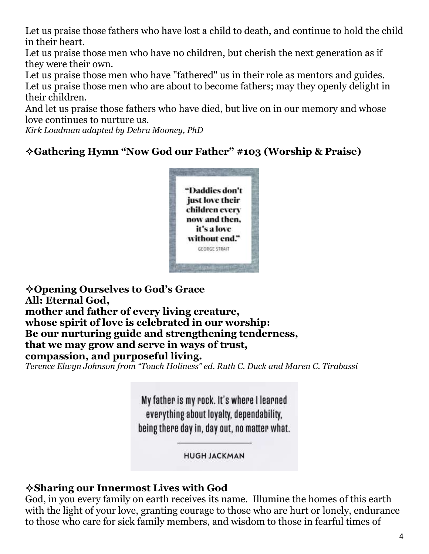Let us praise those fathers who have lost a child to death, and continue to hold the child in their heart.

Let us praise those men who have no children, but cherish the next generation as if they were their own.

Let us praise those men who have "fathered" us in their role as mentors and guides. Let us praise those men who are about to become fathers; may they openly delight in their children.

And let us praise those fathers who have died, but live on in our memory and whose love continues to nurture us.

*Kirk Loadman adapted by Debra Mooney, PhD* 

# **Gathering Hymn "Now God our Father" #103 (Worship & Praise)**



**Opening Ourselves to God's Grace All: Eternal God, mother and father of every living creature, whose spirit of love is celebrated in our worship: Be our nurturing guide and strengthening tenderness, that we may grow and serve in ways of trust, compassion, and purposeful living.** *Terence Elwyn Johnson from "Touch Holiness" ed. Ruth C. Duck and Maren C. Tirabassi*

My father is my rock. It's where I learned everything about loyalty, dependability, being there day in, day out, no matter what.

**HUGH JACKMAN** 

# **Sharing our Innermost Lives with God**

God, in you every family on earth receives its name. Illumine the homes of this earth with the light of your love, granting courage to those who are hurt or lonely, endurance to those who care for sick family members, and wisdom to those in fearful times of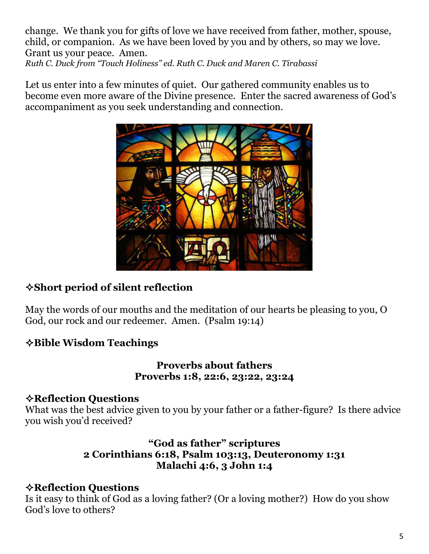change. We thank you for gifts of love we have received from father, mother, spouse, child, or companion. As we have been loved by you and by others, so may we love. Grant us your peace. Amen. *Ruth C. Duck from "Touch Holiness" ed. Ruth C. Duck and Maren C. Tirabassi*

Let us enter into a few minutes of quiet. Our gathered community enables us to become even more aware of the Divine presence. Enter the sacred awareness of God's accompaniment as you seek understanding and connection.



# **Short period of silent reflection**

May the words of our mouths and the meditation of our hearts be pleasing to you, O God, our rock and our redeemer. Amen. (Psalm 19:14)

# **Bible Wisdom Teachings**

#### **Proverbs about fathers Proverbs 1:8, 22:6, 23:22, 23:24**

#### **Reflection Questions**

What was the best advice given to you by your father or a father-figure? Is there advice you wish you'd received?

#### **"God as father" scriptures 2 Corinthians 6:18, Psalm 103:13, Deuteronomy 1:31 Malachi 4:6, 3 John 1:4**

# **Reflection Questions**

Is it easy to think of God as a loving father? (Or a loving mother?) How do you show God's love to others?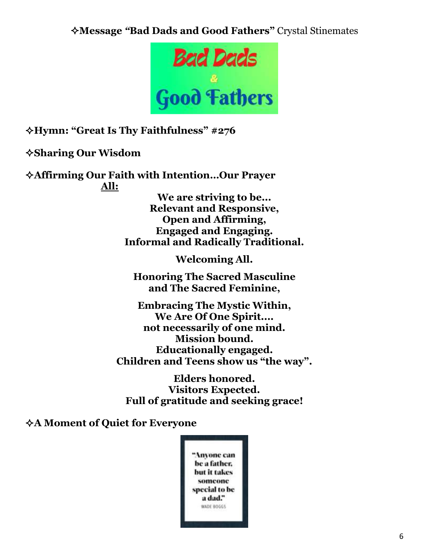**Message** *"***Bad Dads and Good Fathers"** Crystal Stinemates



**Hymn: "Great Is Thy Faithfulness" #276**

**Sharing Our Wisdom**

**Affirming Our Faith with Intention…Our Prayer All:**

> **We are striving to be... Relevant and Responsive, Open and Affirming, Engaged and Engaging. Informal and Radically Traditional.**

> > **Welcoming All.**

**Honoring The Sacred Masculine and The Sacred Feminine,**

**Embracing The Mystic Within, We Are Of One Spirit.... not necessarily of one mind. Mission bound. Educationally engaged. Children and Teens show us "the way".**

**Elders honored. Visitors Expected. Full of gratitude and seeking grace!**

#### **A Moment of Quiet for Everyone**

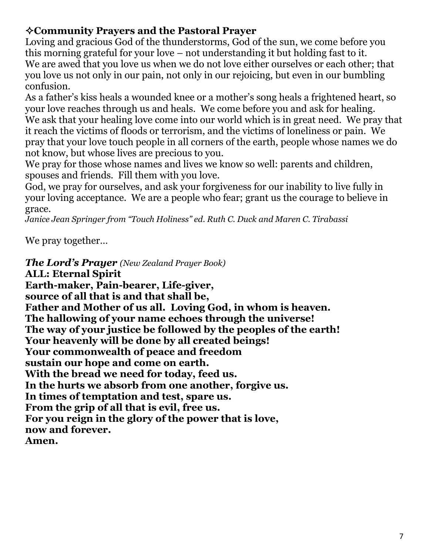# **Community Prayers and the Pastoral Prayer**

Loving and gracious God of the thunderstorms, God of the sun, we come before you this morning grateful for your love – not understanding it but holding fast to it. We are awed that you love us when we do not love either ourselves or each other; that you love us not only in our pain, not only in our rejoicing, but even in our bumbling confusion.

As a father's kiss heals a wounded knee or a mother's song heals a frightened heart, so your love reaches through us and heals. We come before you and ask for healing. We ask that your healing love come into our world which is in great need. We pray that it reach the victims of floods or terrorism, and the victims of loneliness or pain. We pray that your love touch people in all corners of the earth, people whose names we do not know, but whose lives are precious to you.

We pray for those whose names and lives we know so well: parents and children, spouses and friends. Fill them with you love.

God, we pray for ourselves, and ask your forgiveness for our inability to live fully in your loving acceptance. We are a people who fear; grant us the courage to believe in grace.

*Janice Jean Springer from "Touch Holiness" ed. Ruth C. Duck and Maren C. Tirabassi*

We pray together…

*The Lord's Prayer (New Zealand Prayer Book)* **ALL: Eternal Spirit Earth-maker, Pain-bearer, Life-giver, source of all that is and that shall be, Father and Mother of us all. Loving God, in whom is heaven. The hallowing of your name echoes through the universe! The way of your justice be followed by the peoples of the earth! Your heavenly will be done by all created beings! Your commonwealth of peace and freedom sustain our hope and come on earth. With the bread we need for today, feed us. In the hurts we absorb from one another, forgive us. In times of temptation and test, spare us. From the grip of all that is evil, free us. For you reign in the glory of the power that is love, now and forever. Amen.**